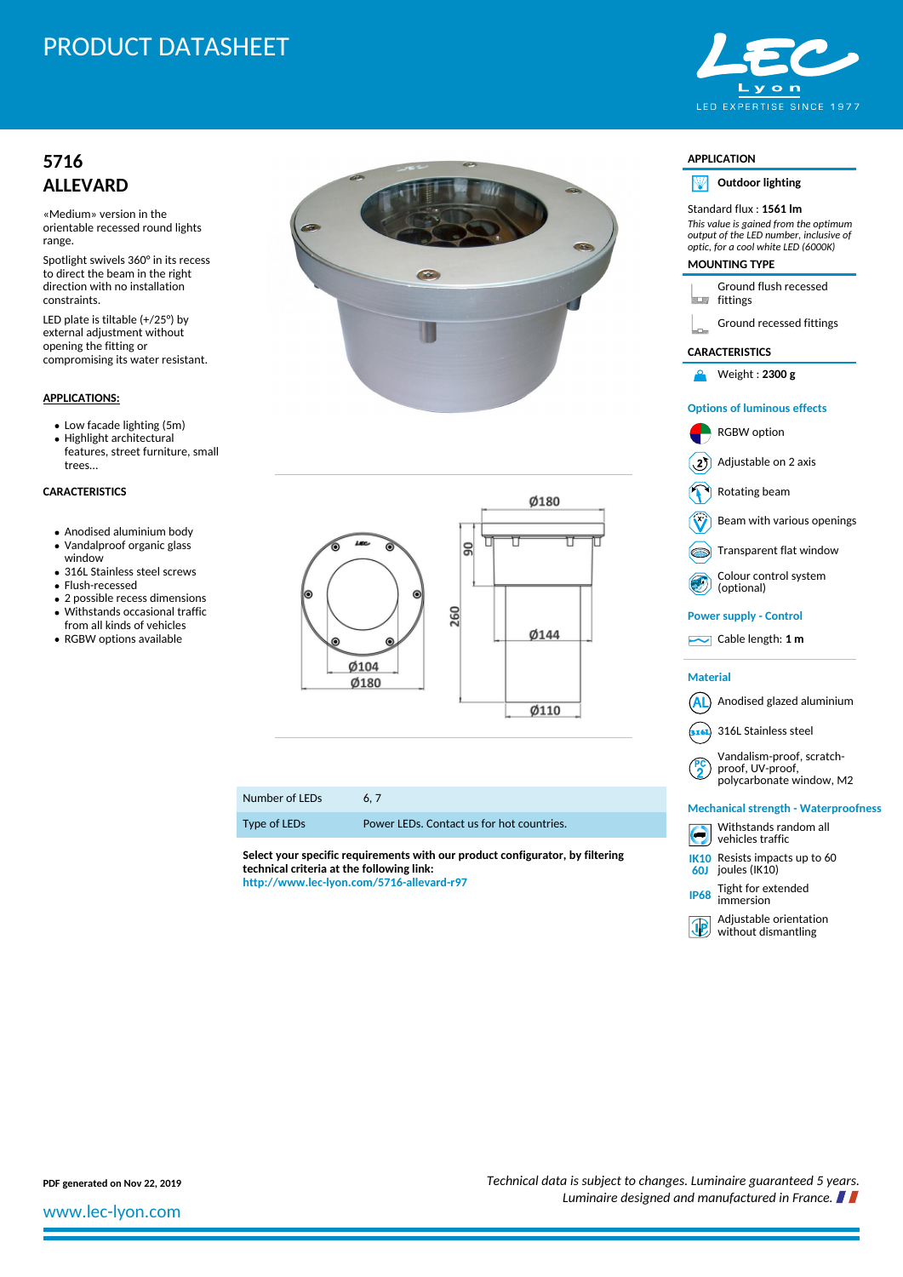# PRODUCT DATASHEET



## **[5716](http://www.lec-lyon.com/5716-allevard-r97) [ALLEVARD](http://www.lec-lyon.com/5716-allevard-r97)**

«Medium» version in the orientable recessed round lights range.

Spotlight swivels 360° in its recess to direct the beam in the right direction with no installation constraints.

LED plate is tiltable (+/25°) by external adjustment without opening the fitting or compromising its water resistant.

#### **APPLICATIONS:**

Low facade lighting (5m)

- Highlight architectural
- features, street furniture, small trees…

#### **CARACTERISTICS**

- Anodised aluminium body
- Vandalproof organic glass window
- 316L Stainless steel screws
- Flush-recessed
- 2 possible recess dimensions Withstands occasional traffic
- from all kinds of vehicles RGBW options available





#### Number of LEDs 6, 7

Type of LEDs Power LEDs. Contact us for hot countries.

**Select your specific requirements with our product configurator, by filtering technical criteria at the following link: <http://www.lec-lyon.com/5716-allevard-r97>**

| <b>APPLICATION</b>                   |                                                                                                                                                                                  |
|--------------------------------------|----------------------------------------------------------------------------------------------------------------------------------------------------------------------------------|
| NИ                                   | <b>Outdoor lighting</b>                                                                                                                                                          |
|                                      | Standard flux : <b>1561 lm</b><br>This value is gained from the optimum<br>output of the LED number, inclusive of<br>optic, for a cool white LED (6000K)<br><b>MOUNTING TYPE</b> |
| <b>LE</b>                            | Ground flush recessed<br>fittings                                                                                                                                                |
|                                      | Ground recessed fittings                                                                                                                                                         |
| <b>CARACTERISTICS</b>                |                                                                                                                                                                                  |
| Α                                    | Weight: 2300 g                                                                                                                                                                   |
|                                      | <b>Options of luminous effects</b>                                                                                                                                               |
|                                      | <b>RGBW</b> option                                                                                                                                                               |
| 21                                   | Adjustable on 2 axis                                                                                                                                                             |
|                                      | Rotating beam                                                                                                                                                                    |
|                                      | Beam with various openings                                                                                                                                                       |
|                                      | Transparent flat window                                                                                                                                                          |
|                                      | Colour control system<br>(optional)                                                                                                                                              |
| <b>Power supply - Control</b>        |                                                                                                                                                                                  |
|                                      | $\sim$ Cable length: 1 m                                                                                                                                                         |
| Material                             |                                                                                                                                                                                  |
| AL                                   | ) Anodised glazed aluminium                                                                                                                                                      |
|                                      | 316L Stainless steel                                                                                                                                                             |
|                                      | Vandalism-proof, scratch-<br>proof, UV-proof,<br>polycarbonate window, M2                                                                                                        |
| Mechanical strength - Waterproofness |                                                                                                                                                                                  |
|                                      | Withstands random all<br>vehicles traffic                                                                                                                                        |
| 60J                                  | K <sub>10</sub> Resists impacts up to 60<br>joules (IK10)                                                                                                                        |
| <b>IP68</b>                          | Tight for extended<br>immersion                                                                                                                                                  |
| (JP)                                 | Adjustable orientation<br>without dismantling                                                                                                                                    |

**PDF generated on Nov 22, 2019** *PDF generated on Nov 22, 2019 Technical data is subject to changes. Luminaire guaranteed 5 years. Luminaire designed and manufactured in France.*